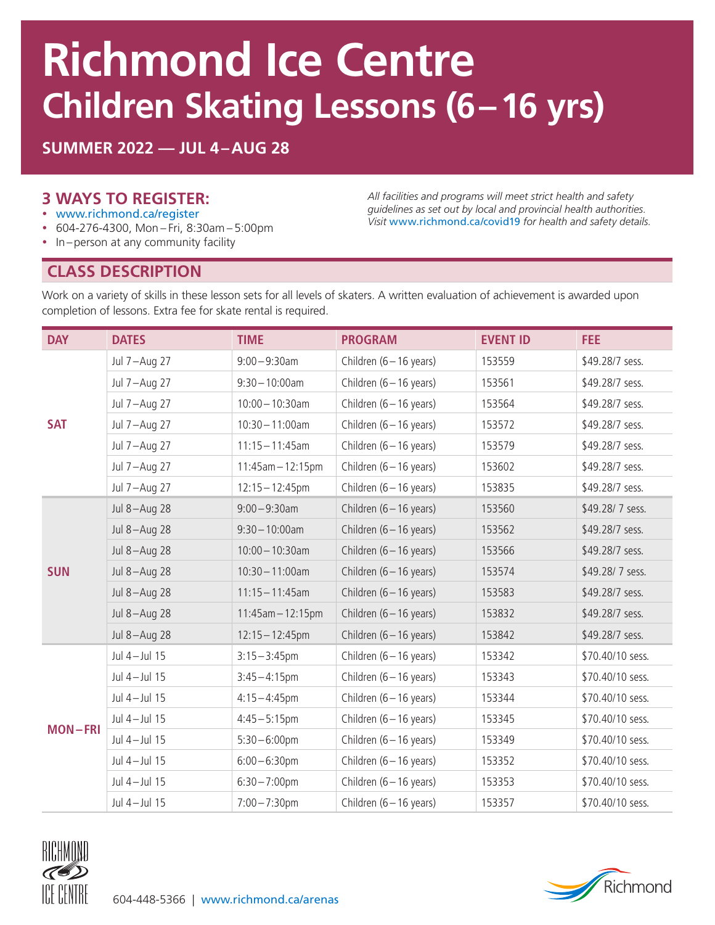# **Richmond Ice Centre Children Skating Lessons (6–16 yrs)**

**SUMMER 2022 — JUL 4–AUG 28**

#### **3 WAYS TO REGISTER:**

- www.richmond.ca/register
- y 604-276-4300, Mon Fri, 8:30am 5:00pm
- In–person at any community facility

*All facilities and programs will meet strict health and safety guidelines as set out by local and provincial health authorities. Visit* www.richmond.ca/covid19 *for health and safety details.*

### **CLASS DESCRIPTION**

Work on a variety of skills in these lesson sets for all levels of skaters. A written evaluation of achievement is awarded upon completion of lessons. Extra fee for skate rental is required.

| <b>DAY</b>     | <b>DATES</b> | <b>TIME</b>        | <b>PROGRAM</b>            | <b>EVENT ID</b> | <b>FEE</b>       |
|----------------|--------------|--------------------|---------------------------|-----------------|------------------|
| <b>SAT</b>     | Jul 7-Aug 27 | $9:00 - 9:30$ am   | Children (6 - 16 years)   | 153559          | \$49.28/7 sess.  |
|                | Jul 7-Aug 27 | $9:30 - 10:00$ am  | Children (6 - 16 years)   | 153561          | \$49.28/7 sess.  |
|                | Jul 7-Aug 27 | $10:00 - 10:30$ am | Children (6 - 16 years)   | 153564          | \$49.28/7 sess.  |
|                | Jul 7-Aug 27 | $10:30 - 11:00$ am | Children $(6 - 16$ years) | 153572          | \$49.28/7 sess.  |
|                | Jul 7-Aug 27 | $11:15 - 11:45$ am | Children (6 - 16 years)   | 153579          | \$49.28/7 sess.  |
|                | Jul 7-Aug 27 | 11:45am - 12:15pm  | Children (6 - 16 years)   | 153602          | \$49.28/7 sess.  |
|                | Jul 7-Aug 27 | $12:15 - 12:45$ pm | Children $(6 - 16$ years) | 153835          | \$49.28/7 sess.  |
| <b>SUN</b>     | Jul 8-Aug 28 | $9:00 - 9:30$ am   | Children (6 - 16 years)   | 153560          | \$49.28/7 sess.  |
|                | Jul 8-Aug 28 | $9:30 - 10:00$ am  | Children (6 - 16 years)   | 153562          | \$49.28/7 sess.  |
|                | Jul 8-Aug 28 | $10:00 - 10:30$ am | Children (6 - 16 years)   | 153566          | \$49.28/7 sess.  |
|                | Jul 8-Aug 28 | $10:30 - 11:00$ am | Children (6 - 16 years)   | 153574          | \$49.28/7 sess.  |
|                | Jul 8-Aug 28 | $11:15 - 11:45$ am | Children (6 - 16 years)   | 153583          | \$49.28/7 sess.  |
|                | Jul 8-Aug 28 | 11:45am-12:15pm    | Children (6 - 16 years)   | 153832          | \$49.28/7 sess.  |
|                | Jul 8-Aug 28 | $12:15 - 12:45$ pm | Children (6 - 16 years)   | 153842          | \$49.28/7 sess.  |
| <b>MON-FRI</b> | Jul 4-Jul 15 | $3:15 - 3:45$ pm   | Children (6 - 16 years)   | 153342          | \$70.40/10 sess. |
|                | Jul 4-Jul 15 | $3:45 - 4:15$ pm   | Children (6 - 16 years)   | 153343          | \$70.40/10 sess. |
|                | Jul 4-Jul 15 | $4:15 - 4:45$ pm   | Children (6 - 16 years)   | 153344          | \$70.40/10 sess. |
|                | Jul 4-Jul 15 | $4:45 - 5:15$ pm   | Children (6 - 16 years)   | 153345          | \$70.40/10 sess. |
|                | Jul 4-Jul 15 | $5:30 - 6:00$ pm   | Children (6 - 16 years)   | 153349          | \$70.40/10 sess. |
|                | Jul 4-Jul 15 | $6:00 - 6:30$ pm   | Children (6 - 16 years)   | 153352          | \$70.40/10 sess. |
|                | Jul 4-Jul 15 | $6:30 - 7:00$ pm   | Children (6 - 16 years)   | 153353          | \$70.40/10 sess. |
|                | Jul 4-Jul 15 | $7:00 - 7:30$ pm   | Children (6 - 16 years)   | 153357          | \$70.40/10 sess. |